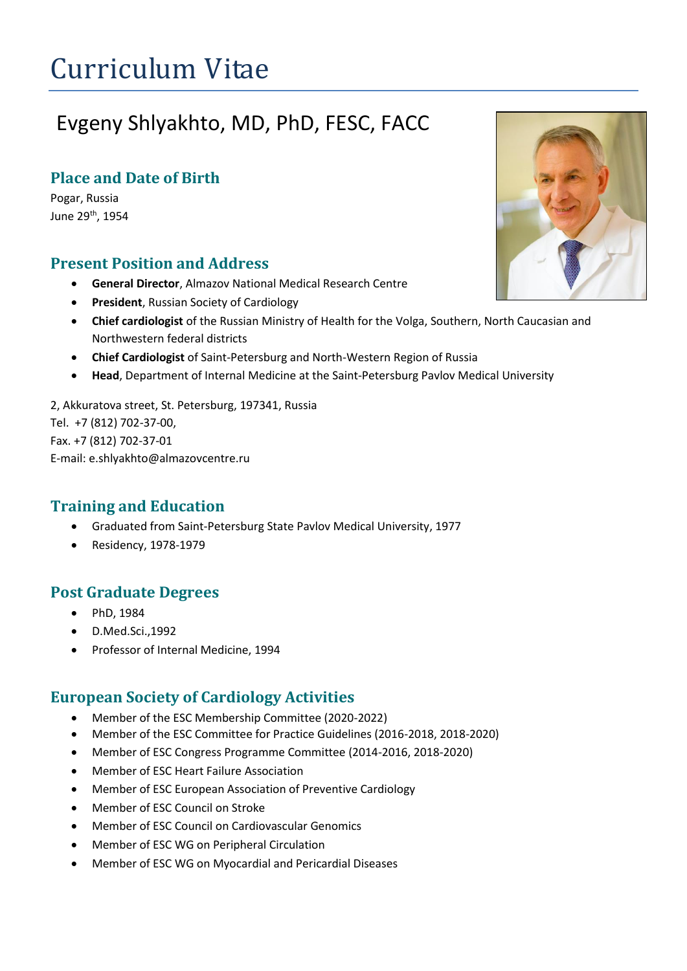# Curriculum Vitae

# Evgeny Shlyakhto, MD, PhD, FESC, FACC

## **Place and Date of Birth**

Pogar, Russia June 29th, 1954

#### **Present Position and Address**

- **General Director**, Almazov National Medical Research Centre
- **President**, Russian Society of Cardiology
- **Chief cardiologist** of the Russian Ministry of Health for the Volga, Southern, North Caucasian and Northwestern federal districts
- **Chief Cardiologist** of Saint-Petersburg and North-Western Region of Russia
- **Head**, Department of Internal Medicine at the Saint-Petersburg Pavlov Medical University

2, Akkuratova street, St. Petersburg, 197341, Russia Tel. +7 (812) 702-37-00, Fax. +7 (812) 702-37-01 E-mail: e.shlyakhto@almazovcentre.ru

### **Training and Education**

- Graduated from Saint-Petersburg State Pavlov Medical University, 1977
- Residency, 1978-1979

### **Post Graduate Degrees**

- PhD, 1984
- D.Med.Sci.,1992
- Professor of Internal Medicine, 1994

### **European Society of Cardiology Activities**

- Member of the ESC Membership Committee (2020-2022)
- Member of the ESC Committee for Practice Guidelines (2016-2018, 2018-2020)
- Member of ESC Congress Programme Committee (2014-2016, 2018-2020)
- Member of ESC Heart Failure Association
- Member of ESC European Association of Preventive Cardiology
- Member of ESC Council on Stroke
- Member of ESC Council on Cardiovascular Genomics
- Member of ESC WG on Peripheral Circulation
- Member of ESC WG on Myocardial and Pericardial Diseases

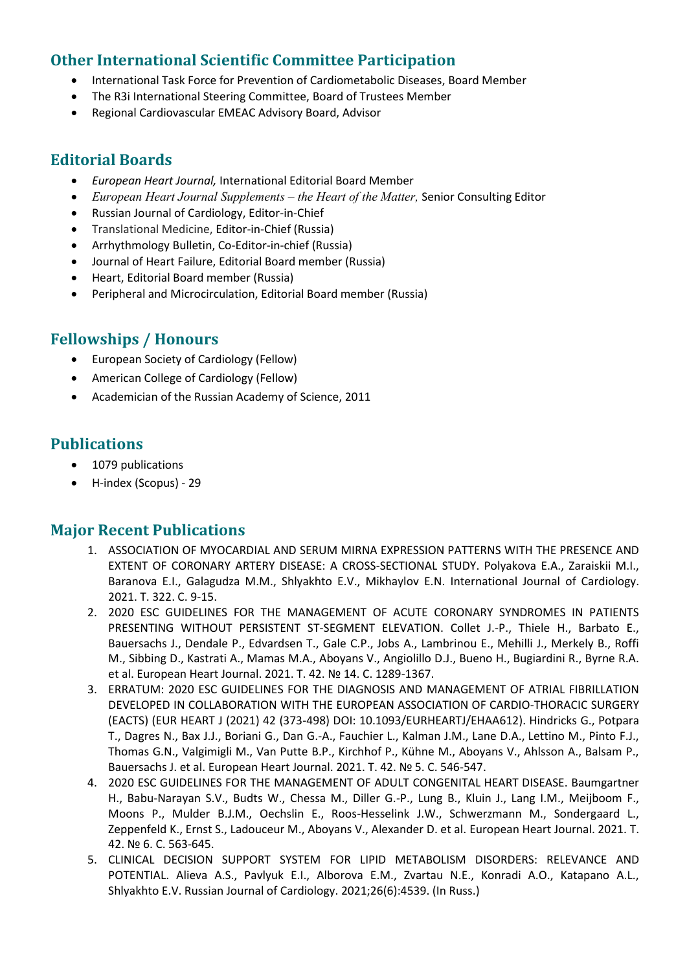### **Other International Scientific Committee Participation**

- International Task Force for Prevention of Cardiometabolic Diseases, Board Member
- The R3i International Steering Committee, Board of Trustees Member
- Regional Cardiovascular EMEAC Advisory Board, Advisor

#### **Editorial Boards**

- *European Heart Journal,* International Editorial Board Member
- *European Heart Journal Supplements – the Heart of the Matter,* Senior Consulting Editor
- Russian Journal of Cardiology, Editor-in-Chief
- Translational Medicine, Editor-in-Chief (Russia)
- Arrhythmology Bulletin, Co-Editor-in-chief (Russia)
- Journal of Heart Failure, Editorial Board member (Russia)
- Heart, Editorial Board member (Russia)
- Peripheral and Microcirculation, Editorial Board member (Russia)

### **Fellowships / Honours**

- European Society of Cardiology (Fellow)
- American College of Cardiology (Fellow)
- Academician of the Russian Academy of Science, 2011

#### **Publications**

- 1079 publications
- H-index (Scopus) 29

#### **Major Recent Publications**

- 1. ASSOCIATION OF MYOCARDIAL AND SERUM MIRNA EXPRESSION PATTERNS WITH THE PRESENCE AND EXTENT OF CORONARY ARTERY DISEASE: A CROSS-SECTIONAL STUDY. Polyakova E.A., Zaraiskii M.I., Baranova E.I., Galagudza M.M., Shlyakhto E.V., Mikhaylov E.N. International Journal of Cardiology. 2021. Т. 322. С. 9-15.
- 2. 2020 ESC GUIDELINES FOR THE MANAGEMENT OF ACUTE CORONARY SYNDROMES IN PATIENTS PRESENTING WITHOUT PERSISTENT ST-SEGMENT ELEVATION. Collet J.-P., Thiele H., Barbato E., Bauersachs J., Dendale P., Edvardsen T., Gale C.P., Jobs A., Lambrinou E., Mehilli J., Merkely B., Roffi M., Sibbing D., Kastrati A., Mamas M.A., Aboyans V., Angiolillo D.J., Bueno H., Bugiardini R., Byrne R.A. et al. European Heart Journal. 2021. Т. 42. № 14. С. 1289-1367.
- 3. ERRATUM: 2020 ESC GUIDELINES FOR THE DIAGNOSIS AND MANAGEMENT OF ATRIAL FIBRILLATION DEVELOPED IN COLLABORATION WITH THE EUROPEAN ASSOCIATION OF CARDIO-THORACIC SURGERY (EACTS) (EUR HEART J (2021) 42 (373-498) DOI: 10.1093/EURHEARTJ/EHAA612). Hindricks G., Potpara T., Dagres N., Bax J.J., Boriani G., Dan G.-A., Fauchier L., Kalman J.M., Lane D.A., Lettino M., Pinto F.J., Thomas G.N., Valgimigli M., Van Putte B.P., Kirchhof P., Kühne M., Aboyans V., Ahlsson A., Balsam P., Bauersachs J. et al. European Heart Journal. 2021. Т. 42. № 5. С. 546-547.
- 4. 2020 ESC GUIDELINES FOR THE MANAGEMENT OF ADULT CONGENITAL HEART DISEASE. Baumgartner H., Babu-Narayan S.V., Budts W., Chessa M., Diller G.-P., Lung B., Kluin J., Lang I.M., Meijboom F., Moons P., Mulder B.J.M., Oechslin E., Roos-Hesselink J.W., Schwerzmann M., Sondergaard L., Zeppenfeld K., Ernst S., Ladouceur M., Aboyans V., Alexander D. et al. European Heart Journal. 2021. Т. 42. № 6. С. 563-645.
- 5. CLINICAL DECISION SUPPORT SYSTEM FOR LIPID METABOLISM DISORDERS: RELEVANCE AND POTENTIAL. Alieva A.S., Pavlyuk E.I., Alborova E.M., Zvartau N.E., Konradi A.O., Katapano A.L., Shlyakhto E.V. Russian Journal of Cardiology. 2021;26(6):4539. (In Russ.)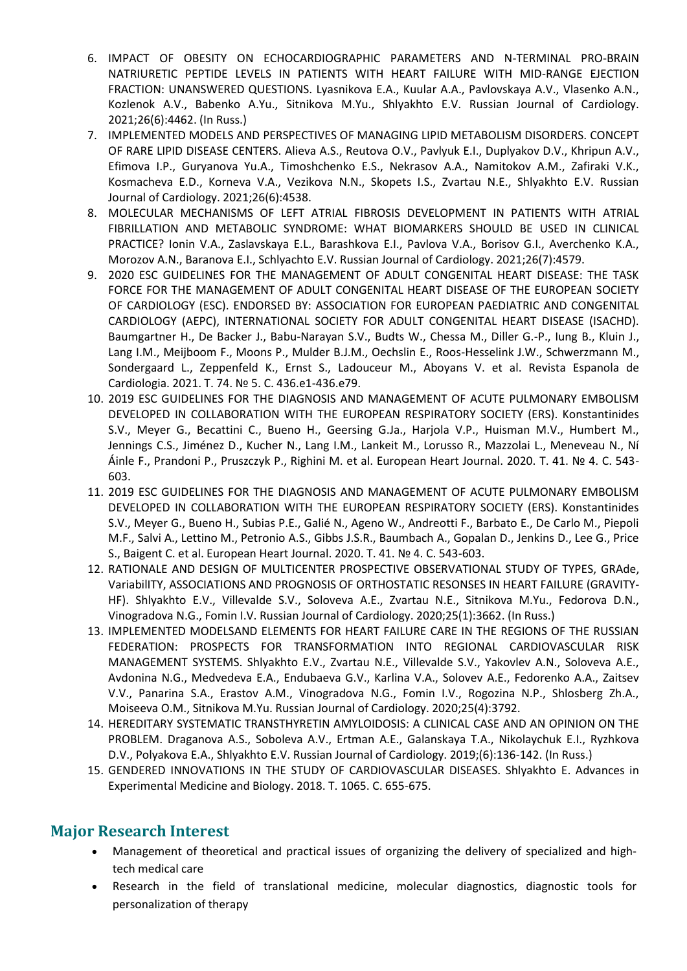- 6. IMPACT OF OBESITY ON ECHOCARDIOGRAPHIC PARAMETERS AND N-TERMINAL PRO-BRAIN NATRIURETIC PEPTIDE LEVELS IN PATIENTS WITH HEART FAILURE WITH MID-RANGE EJECTION FRACTION: UNANSWERED QUESTIONS. Lyasnikova E.A., Kuular A.A., Pavlovskaya A.V., Vlasenko A.N., Kozlenok A.V., Babenko A.Yu., Sitnikova M.Yu., Shlyakhto E.V. Russian Journal of Cardiology. 2021;26(6):4462. (In Russ.)
- 7. IMPLEMENTED MODELS AND PERSPECTIVES OF MANAGING LIPID METABOLISM DISORDERS. CONCEPT OF RARE LIPID DISEASE CENTERS. Alieva A.S., Reutova O.V., Pavlyuk E.I., Duplyakov D.V., Khripun A.V., Efimova I.P., Guryanova Yu.A., Timoshchenko E.S., Nekrasov A.A., Namitokov A.M., Zafiraki V.K., Kosmacheva E.D., Korneva V.A., Vezikova N.N., Skopets I.S., Zvartau N.E., Shlyakhto E.V. Russian Journal of Cardiology. 2021;26(6):4538.
- 8. MOLECULAR MECHANISMS OF LEFT ATRIAL FIBROSIS DEVELOPMENT IN PATIENTS WITH ATRIAL FIBRILLATION AND METABOLIC SYNDROME: WHAT BIOMARKERS SHOULD BE USED IN CLINICAL PRACTICE? Ionin V.A., Zaslavskaya E.L., Barashkova E.I., Pavlova V.A., Borisov G.I., Averchenko K.A., Morozov A.N., Baranova E.I., Schlyachto E.V. Russian Journal of Cardiology. 2021;26(7):4579.
- 9. 2020 ESC GUIDELINES FOR THE MANAGEMENT OF ADULT CONGENITAL HEART DISEASE: THE TASK FORCE FOR THE MANAGEMENT OF ADULT CONGENITAL HEART DISEASE OF THE EUROPEAN SOCIETY OF CARDIOLOGY (ESC). ENDORSED BY: ASSOCIATION FOR EUROPEAN PAEDIATRIC AND CONGENITAL CARDIOLOGY (AEPC), INTERNATIONAL SOCIETY FOR ADULT CONGENITAL HEART DISEASE (ISACHD). Baumgartner H., De Backer J., Babu-Narayan S.V., Budts W., Chessa M., Diller G.-P., Iung B., Kluin J., Lang I.M., Meijboom F., Moons P., Mulder B.J.M., Oechslin E., Roos-Hesselink J.W., Schwerzmann M., Sondergaard L., Zeppenfeld K., Ernst S., Ladouceur M., Aboyans V. et al. Revista Espanola de Cardiologia. 2021. Т. 74. № 5. С. 436.e1-436.e79.
- 10. 2019 ESC GUIDELINES FOR THE DIAGNOSIS AND MANAGEMENT OF ACUTE PULMONARY EMBOLISM DEVELOPED IN COLLABORATION WITH THE EUROPEAN RESPIRATORY SOCIETY (ERS). Konstantinides S.V., Meyer G., Becattini C., Bueno H., Geersing G.Ja., Harjola V.P., Huisman M.V., Humbert M., Jennings C.S., Jiménez D., Kucher N., Lang I.M., Lankeit M., Lorusso R., Mazzolai L., Meneveau N., Ní Áinle F., Prandoni P., Pruszczyk P., Righini M. et al. European Heart Journal. 2020. Т. 41. № 4. С. 543- 603.
- 11. 2019 ESC GUIDELINES FOR THE DIAGNOSIS AND MANAGEMENT OF ACUTE PULMONARY EMBOLISM DEVELOPED IN COLLABORATION WITH THE EUROPEAN RESPIRATORY SOCIETY (ERS). Konstantinides S.V., Meyer G., Bueno H., Subias P.E., Galié N., Ageno W., Andreotti F., Barbato E., De Carlo M., Piepoli M.F., Salvi A., Lettino M., Petronio A.S., Gibbs J.S.R., Baumbach A., Gopalan D., Jenkins D., Lee G., Price S., Baigent C. et al. European Heart Journal. 2020. Т. 41. № 4. С. 543-603.
- 12. RATIONALE AND DESIGN OF MULTICENTER PROSPECTIVE OBSERVATIONAL STUDY OF TYPES, GRAde, VariabilITY, ASSOCIATIONS AND PROGNOSIS OF ORTHOSTATIC RESONSES IN HEART FAILURE (GRAVITY-HF). Shlyakhto E.V., Villevalde S.V., Soloveva A.E., Zvartau N.E., Sitnikova M.Yu., Fedorova D.N., Vinogradova N.G., Fomin I.V. Russian Journal of Cardiology. 2020;25(1):3662. (In Russ.)
- 13. IMPLEMENTED MODELSAND ELEMENTS FOR HEART FAILURE CARE IN THE REGIONS OF THE RUSSIAN FEDERATION: PROSPECTS FOR TRANSFORMATION INTO REGIONAL CARDIOVASCULAR RISK MANAGEMENT SYSTEMS. Shlyakhto E.V., Zvartau N.E., Villevalde S.V., Yakovlev A.N., Soloveva A.E., Avdonina N.G., Medvedeva E.A., Endubaeva G.V., Karlina V.A., Solovev A.E., Fedorenko A.A., Zaitsev V.V., Panarina S.A., Erastov A.M., Vinogradova N.G., Fomin I.V., Rogozina N.P., Shlosberg Zh.A., Moiseeva O.M., Sitnikova M.Yu. Russian Journal of Cardiology. 2020;25(4):3792.
- 14. HEREDITARY SYSTEMATIC TRANSTHYRETIN AMYLOIDOSIS: A CLINICAL CASE AND AN OPINION ON THE PROBLEM. Draganova A.S., Soboleva A.V., Ertman A.E., Galanskaya T.A., Nikolaychuk E.I., Ryzhkova D.V., Polyakova E.A., Shlyakhto E.V. Russian Journal of Cardiology. 2019;(6):136-142. (In Russ.)
- 15. GENDERED INNOVATIONS IN THE STUDY OF CARDIOVASCULAR DISEASES. Shlyakhto E. Advances in Experimental Medicine and Biology. 2018. Т. 1065. С. 655-675.

#### **Major Research Interest**

- Management of theoretical and practical issues of organizing the delivery of specialized and hightech medical care
- Research in the field of translational medicine, molecular diagnostics, diagnostic tools for personalization of therapy